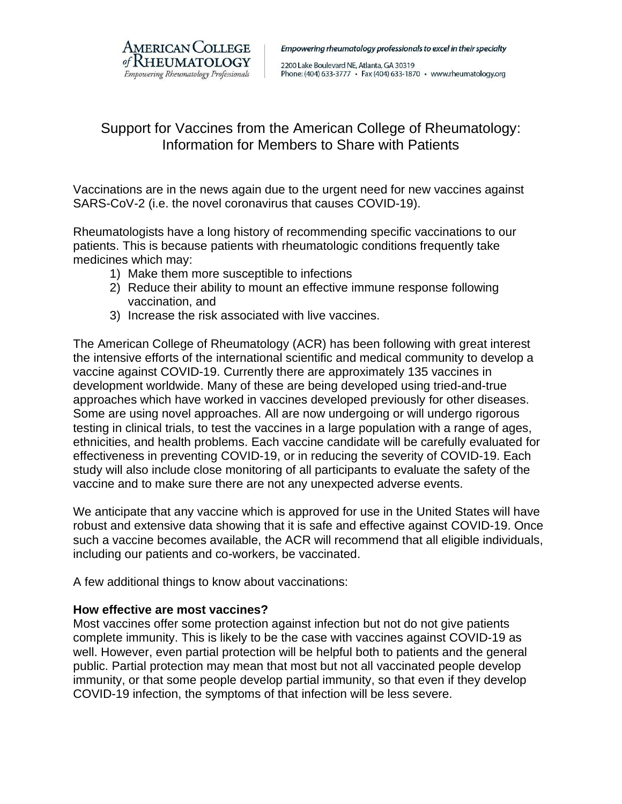

Empowering rheumatology professionals to excel in their specialty

2200 Lake Boulevard NE, Atlanta, GA 30319 Phone: (404) 633-3777 · Fax (404) 633-1870 · www.rheumatology.org

# Support for Vaccines from the American College of Rheumatology: Information for Members to Share with Patients

Vaccinations are in the news again due to the urgent need for new vaccines against SARS-CoV-2 (i.e. the novel coronavirus that causes COVID-19).

Rheumatologists have a long history of recommending specific vaccinations to our patients. This is because patients with rheumatologic conditions frequently take medicines which may:

- 1) Make them more susceptible to infections
- 2) Reduce their ability to mount an effective immune response following vaccination, and
- 3) Increase the risk associated with live vaccines.

The American College of Rheumatology (ACR) has been following with great interest the intensive efforts of the international scientific and medical community to develop a vaccine against COVID-19. Currently there are approximately 135 vaccines in development worldwide. Many of these are being developed using tried-and-true approaches which have worked in vaccines developed previously for other diseases. Some are using novel approaches. All are now undergoing or will undergo rigorous testing in clinical trials, to test the vaccines in a large population with a range of ages, ethnicities, and health problems. Each vaccine candidate will be carefully evaluated for effectiveness in preventing COVID-19, or in reducing the severity of COVID-19. Each study will also include close monitoring of all participants to evaluate the safety of the vaccine and to make sure there are not any unexpected adverse events.

We anticipate that any vaccine which is approved for use in the United States will have robust and extensive data showing that it is safe and effective against COVID-19. Once such a vaccine becomes available, the ACR will recommend that all eligible individuals, including our patients and co-workers, be vaccinated.

A few additional things to know about vaccinations:

## **How effective are most vaccines?**

Most vaccines offer some protection against infection but not do not give patients complete immunity. This is likely to be the case with vaccines against COVID-19 as well. However, even partial protection will be helpful both to patients and the general public. Partial protection may mean that most but not all vaccinated people develop immunity, or that some people develop partial immunity, so that even if they develop COVID-19 infection, the symptoms of that infection will be less severe.